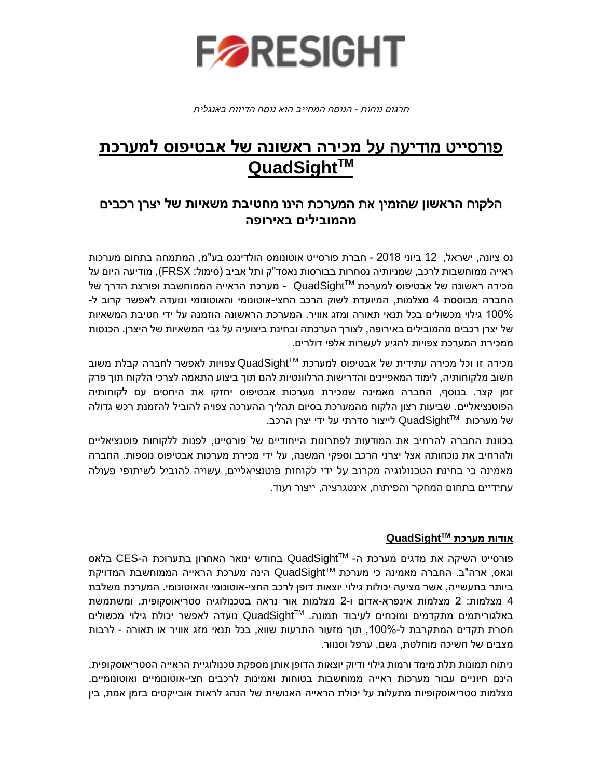

תרגום נוחות - הנוסח המחייב הוא נוסח הדיווח באנגלית

# פורסייט מודיעה על **מכירה ראשונה של אבטיפוס למערכת QuadSightTM**

## הלקוח **הראשון** שהזמין את המערכת הינו מ**חטיבת משאיות של** יצרן רכבים **מהמובילים באירופה**

נס ציונה, ישראל, 12 ביוני 2018 - חברת פורסייט אוטונומס הולדינגס בע"מ, המתמחה בתחום מערכות ראייה ממוחשבות לרכב, שמניותיה נסחרות בבורסות נאסד"ק ותל אביב )סימול: FRSX), מודיעה היום על - מערכת הראייה הממוחשבת ופורצת הדרך של QuadSightTM מכירה ראשונה של אבטיפוס למערכת החברה מבוססת 4 מצלמות, המיועדת לשוק הרכב החצי-אוטונומי והאוטונומי ונועדה לאפשר קרוב ל- 100% גילוי מכשולים בכל תנאי תאורה ומזג אוויר. המערכת הראשונה הוזמנה על ידי חטיבת המשאיות של יצרן רכבים מהמובילים באירופה, לצורך הערכתה ובחינת ביצועיה על גבי המשאיות של היצרן. הכנסות ממכירת המערכת צפויות להגיע לעשרות אלפי דולרים.

צפויות לאפשר לחברה קבלת משוב QuadSightTM מכירה זו וכל מכירה עתידית של אבטיפוס למערכת חשוב מלקוחותיה, לימוד המאפיינים והדרישות הרלוונטיות להם תוך ביצוע התאמה לצרכי הלקוח תוך פרק זמן קצר. בנוסף, החברה מאמינה שמכירת מערכות אבטיפוס יחזקו את היחסים עם לקוחותיה הפוטנציאליים. שביעות רצון הלקוח מהמערכת בסיום תהליך ההערכה צפויה להוביל להזמנת רכש גדולה של מערכות ™QuadSight לייצור סדרתי על ידי יצרן הרכב.

בכוונת החברה להרחיב את המודעות לפתרונות הייחודיים של פורסייט, לפנות ללקוחות פוטנציאליים ולהרחיב את נוכחותה אצל יצרני הרכב וספקי המשנה, על ידי מכירת מערכות אבטיפוס נוספות. החברה מאמינה כי בחינת הטכנולוגיה מקרוב על ידי לקוחות פוטנציאליים, עשויה להוביל לשיתופי פעולה עתידיים בתחום המחקר והפיתוח, אינטגרציה, ייצור ועוד.

### **QuadSightTM אודות מערכת**

בחודש ינואר האחרון בתערוכת ה-CES בלאס QuadSightTM פורסייט השיקה את מדגים מערכת ה- הינה מערכת הראייה הממוחשבת המדויקת QuadSightTM וגאס, ארה"ב. החברה מאמינה כי מערכת ביותר בתעשייה, אשר מציעה יכולות גילוי יוצאות דופן לרכב החצי-אוטונומי והאוטונומי. המערכת משלבת 4 מצלמות: 2 מצלמות אינפרא-אדום ו2- מצלמות אור נראה בטכנולוגיה סטריאוסקופית, ומשתמשת נועדה לאפשר יכולת גילוי מכשולים QuadSightTM באלגוריתמים מתקדמים ומוכחים לעיבוד תמונה. חסרת תקדים המתקרבת ל,100%- תוך מזעור התרעות שווא, בכל תנאי מזג אוויר או תאורה - לרבות מצבים של חשיכה מוחלטת, גשם, ערפל וסנוור.

ניתוח תמונות תלת מימד ורמות גילוי ודיוק יוצאות הדופן אותן מספקת טכנולוגיית הראייה הסטריאוסקופית, הינם חיוניים עבור מערכות ראייה ממוחשבות בטוחות ואמינות לרכבים חצי-אוטונומיים ואוטונומיים. מצלמות סטריאוסקופיות מתעלות על יכולת הראייה האנושית של הנהג לראות אובייקטים בזמן אמת, בין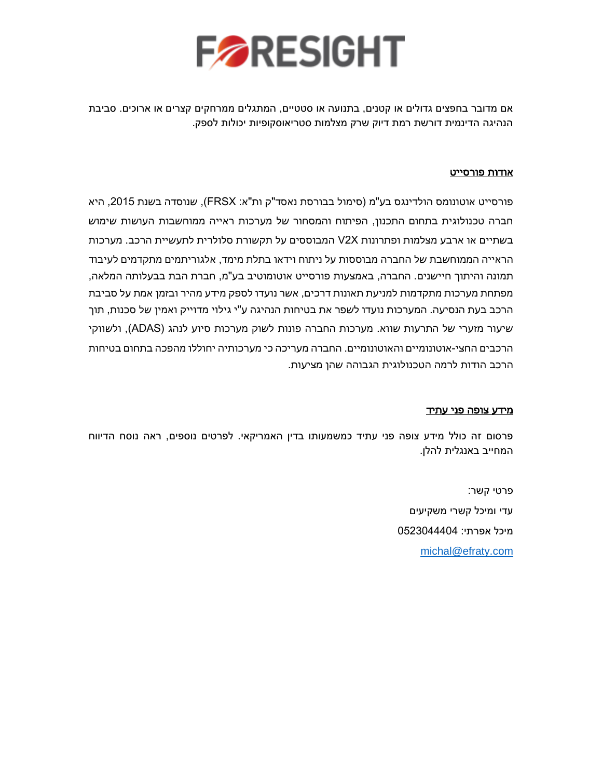

אם מדובר בחפצים גדולים או קטנים, בתנועה או סטטיים, המתגלים ממרחקים קצרים או ארוכים. סביבת הנהיגה הדינמית דורשת רמת דיוק שרק מצלמות סטריאוסקופיות יכולות לספק.

### אודות פורסייט

פורסייט אוטונומס הולדינגס בע"מ )סימול בבורסת נאסד"ק ות"א: FRSX), שנוסדה בשנת ,2015 היא חברה טכנולוגית בתחום התכנון, הפיתוח והמסחור של מערכות ראייה ממוחשבות העושות שימוש בשתיים או ארבע מצלמות ופתרונות X2V המבוססים על תקשורת סלולרית לתעשיית הרכב. מערכות הראייה הממוחשבת של החברה מבוססות על ניתוח וידאו בתלת מימד, אלגוריתמים מתקדמים לעיבוד תמונה והיתוך חיישנים. החברה, באמצעות פורסייט אוטומוטיב בע"מ, חברת הבת בבעלותה המלאה, מפתחת מערכות מתקדמות למניעת תאונות דרכים, אשר נועדו לספק מידע מהיר ובזמן אמת על סביבת הרכב בעת הנסיעה. המערכות נועדו לשפר את בטיחות הנהיגה ע"י גילוי מדוייק ואמין של סכנות, תוך שיעור מזערי של התרעות שווא. מערכות החברה פונות לשוק מערכות סיוע לנהג )ADAS), ולשווקי הרכבים החצי-אוטונומיים והאוטונומיים. החברה מעריכה כי מערכותיה יחוללו מהפכה בתחום בטיחות הרכב הודות לרמה הטכנולוגית הגבוהה שהן מציעות.

### מידע צופה פני עתיד

פרסום זה כולל מידע צופה פני עתיד כמשמעותו בדין האמריקאי. לפרטים נוספים, ראה נוסח הדיווח המחייב באנגלית להלן.

> פרטי קשר: עדי ומיכל קשרי משקיעים מיכל אפרתי: 0523044404 [michal@efraty.com](mailto:michal@efraty.com)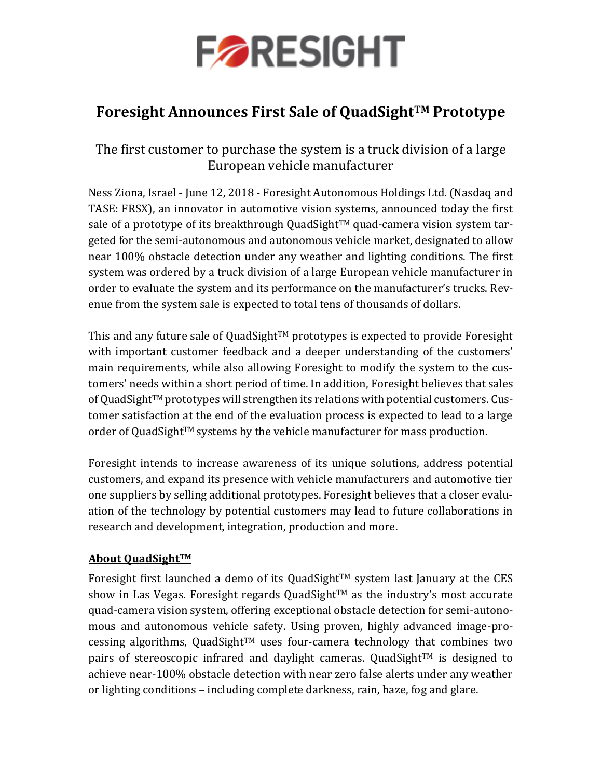

## **Foresight Announces First Sale of QuadSightTM Prototype**

The first customer to purchase the system is a truck division of a large European vehicle manufacturer

Ness Ziona, Israel - June 12, 2018 - Foresight Autonomous Holdings Ltd. (Nasdaq and TASE: FRSX), an innovator in automotive vision systems, announced today the first sale of a prototype of its breakthrough QuadSight<sup>TM</sup> quad-camera vision system targeted for the semi-autonomous and autonomous vehicle market, designated to allow near 100% obstacle detection under any weather and lighting conditions. The first system was ordered by a truck division of a large European vehicle manufacturer in order to evaluate the system and its performance on the manufacturer's trucks. Revenue from the system sale is expected to total tens of thousands of dollars.

This and any future sale of QuadSight<sup>TM</sup> prototypes is expected to provide Foresight with important customer feedback and a deeper understanding of the customers' main requirements, while also allowing Foresight to modify the system to the customers' needs within a short period of time. In addition, Foresight believes that sales of QuadSight $TM$  prototypes will strengthen its relations with potential customers. Customer satisfaction at the end of the evaluation process is expected to lead to a large order of QuadSightTM systems by the vehicle manufacturer for mass production.

Foresight intends to increase awareness of its unique solutions, address potential customers, and expand its presence with vehicle manufacturers and automotive tier one suppliers by selling additional prototypes. Foresight believes that a closer evaluation of the technology by potential customers may lead to future collaborations in research and development, integration, production and more.

## **About QuadSightTM**

Foresight first launched a demo of its QuadSight™ system last January at the CES show in Las Vegas. Foresight regards QuadSight<sup>TM</sup> as the industry's most accurate quad-camera vision system, offering exceptional obstacle detection for semi-autonomous and autonomous vehicle safety. Using proven, highly advanced image-processing algorithms, QuadSight<sup>TM</sup> uses four-camera technology that combines two pairs of stereoscopic infrared and daylight cameras. QuadSight™ is designed to achieve near-100% obstacle detection with near zero false alerts under any weather or lighting conditions – including complete darkness, rain, haze, fog and glare.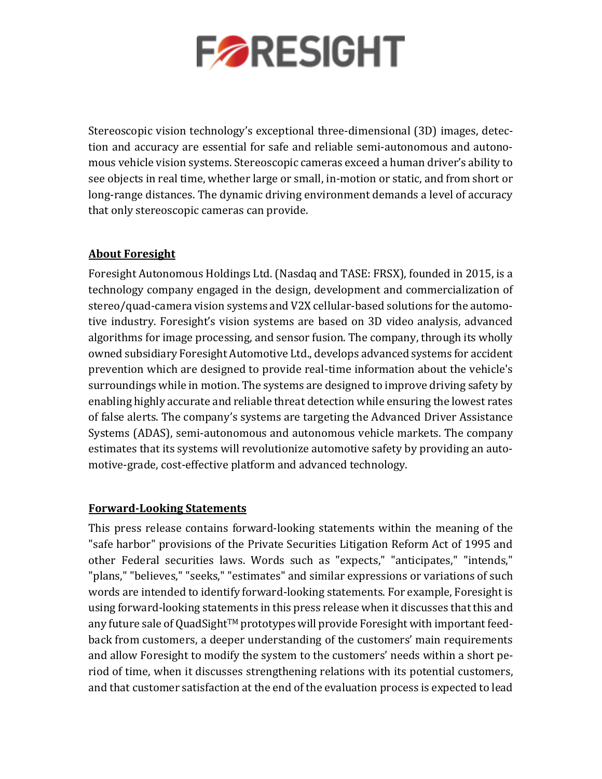

Stereoscopic vision technology's exceptional three-dimensional (3D) images, detection and accuracy are essential for safe and reliable semi-autonomous and autonomous vehicle vision systems. Stereoscopic cameras exceed a human driver's ability to see objects in real time, whether large or small, in-motion or static, and from short or long-range distances. The dynamic driving environment demands a level of accuracy that only stereoscopic cameras can provide.

## **About Foresight**

Foresight Autonomous Holdings Ltd. (Nasdaq and TASE: FRSX), founded in 2015, is a technology company engaged in the design, development and commercialization of stereo/quad-camera vision systems and V2X cellular-based solutions for the automotive industry. Foresight's vision systems are based on 3D video analysis, advanced algorithms for image processing, and sensor fusion. The company, through its wholly owned subsidiary Foresight Automotive Ltd., develops advanced systems for accident prevention which are designed to provide real-time information about the vehicle's surroundings while in motion. The systems are designed to improve driving safety by enabling highly accurate and reliable threat detection while ensuring the lowest rates of false alerts. The company's systems are targeting the Advanced Driver Assistance Systems (ADAS), semi-autonomous and autonomous vehicle markets. The company estimates that its systems will revolutionize automotive safety by providing an automotive-grade, cost-effective platform and advanced technology.

### **Forward-Looking Statements**

This press release contains forward-looking statements within the meaning of the "safe harbor" provisions of the Private Securities Litigation Reform Act of 1995 and other Federal securities laws. Words such as "expects," "anticipates," "intends," "plans," "believes," "seeks," "estimates" and similar expressions or variations of such words are intended to identify forward-looking statements. For example, Foresight is using forward-looking statements in this press release when it discusses that this and any future sale of QuadSight<sup>TM</sup> prototypes will provide Foresight with important feedback from customers, a deeper understanding of the customers' main requirements and allow Foresight to modify the system to the customers' needs within a short period of time, when it discusses strengthening relations with its potential customers, and that customer satisfaction at the end of the evaluation process is expected to lead